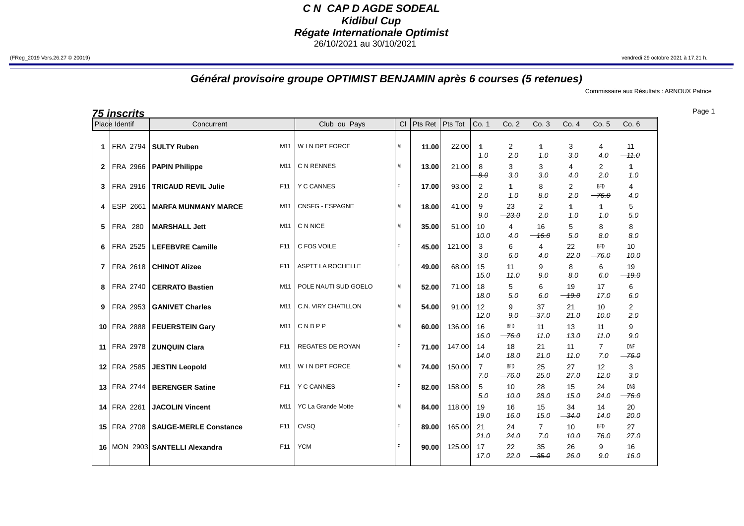## **C N CAP D AGDE SODEAL Kidibul Cup Régate Internationale Optimist** 26/10/2021 au 30/10/2021

## **Général provisoire groupe OPTIMIST BENJAMIN après 6 courses (5 retenues)**

Commissaire aux Résultats : ARNOUX Patrice

**75 inscrits**

|                | <u>ra mscrits</u><br>Place Identif | Concurrent                     |                 | Club ou Pays              | Cl | Pts Ret | Pts Tot | Co. 1                 | Co. 2                 | Co. 3                 | Co. 4                 | Co. 5                 | Co.6                  |
|----------------|------------------------------------|--------------------------------|-----------------|---------------------------|----|---------|---------|-----------------------|-----------------------|-----------------------|-----------------------|-----------------------|-----------------------|
| $\mathbf{1}$   | FRA 2794                           | <b>SULTY Ruben</b>             | M11             | W I N DPT FORCE           | M  | 11.00   | 22.00   | 1<br>1.0              | $\overline{2}$<br>2.0 | 1<br>1.0              | 3<br>3.0              | 4<br>4.0              | 11<br>$-11.0$         |
| 2              | FRA 2966                           | <b>PAPIN Philippe</b>          | M11             | C N RENNES                | M  | 13.00   | 21.00   | 8<br>8.0              | 3<br>3.0              | 3<br>3.0              | 4<br>4.0              | 2<br>2.0              | 1<br>1.0              |
| 3              | FRA 2916                           | <b>TRICAUD REVIL Julie</b>     | F11             | <b>Y C CANNES</b>         | F  | 17.00   | 93.00   | $\overline{2}$<br>2.0 | 1<br>1.0              | 8<br>8.0              | $\overline{2}$<br>2.0 | <b>BFD</b><br>$-76.0$ | 4<br>4.0              |
| 4              | ESP 2661                           | <b>MARFA MUNMANY MARCE</b>     | M11             | CNSFG - ESPAGNE           | M  | 18.00   | 41.00   | 9<br>9.0              | 23<br>$-23.0$         | 2<br>2.0              | 1<br>1.0              | 1<br>1.0              | 5<br>5.0              |
| 5              | FRA 280                            | <b>MARSHALL Jett</b>           | M11             | C N NICE                  | M  | 35.00   | 51.00   | 10<br>10.0            | 4<br>4.0              | 16<br>$-16.0$         | 5<br>5.0              | 8<br>8.0              | 8<br>8.0              |
| 6              | FRA 2525                           | <b>LEFEBVRE Camille</b>        | F <sub>11</sub> | C FOS VOILE               | F  | 45.00   | 121.00  | 3<br>3.0              | 6<br>6.0              | 4<br>4.0              | 22<br>22.0            | <b>BFD</b><br>$-76.0$ | 10<br>10.0            |
| $\overline{7}$ | FRA 2618                           | <b>CHINOT Alizee</b>           | F11             | <b>ASPTT LA ROCHELLE</b>  | F  | 49.00   | 68.00   | 15<br>15.0            | 11<br>11.0            | 9<br>9.0              | 8<br>8.0              | 6<br>6.0              | 19<br>$-49.0$         |
| 8              | FRA 2740                           | <b>CERRATO Bastien</b>         | M11             | POLE NAUTI SUD GOELO      | M  | 52.00   | 71.00   | 18<br>18.0            | 5<br>5.0              | 6<br>6.0              | 19<br>$-19.0$         | 17<br>17.0            | 6<br>6.0              |
| 9              | FRA 2953                           | <b>GANIVET Charles</b>         | M11             | C.N. VIRY CHATILLON       | M  | 54.00   | 91.00   | 12<br>12.0            | 9<br>9.0              | 37<br>$-37.0$         | 21<br>21.0            | 10<br>10.0            | $\mathbf{2}$<br>2.0   |
|                | 10 FRA 2888                        | <b>FEUERSTEIN Gary</b>         | M11             | CNBPP                     | M  | 60.00   | 136.00  | 16<br>16.0            | <b>BFD</b><br>$-76.0$ | 11<br>11.0            | 13<br>13.0            | 11<br>11.0            | 9<br>9.0              |
|                | 11 FRA 2978                        | <b>ZUNQUIN Clara</b>           | F <sub>11</sub> | <b>REGATES DE ROYAN</b>   | F  | 71.00   | 147.00  | 14<br>14.0            | 18<br>18.0            | 21<br>21.0            | 11<br>11.0            | $\overline{7}$<br>7.0 | <b>DNF</b><br>$-76.0$ |
|                | 12 FRA 2585                        | <b>JESTIN Leopold</b>          | M11             | W I N DPT FORCE           | M  | 74.00   | 150.00  | $\overline{7}$<br>7.0 | <b>BFD</b><br>$-76.0$ | 25<br>25.0            | 27<br>27.0            | 12<br>12.0            | 3<br>3.0              |
|                | 13 FRA 2744                        | <b>BERENGER Satine</b>         | F11             | <b>Y C CANNES</b>         | F  | 82.00   | 158.00  | 5<br>5.0              | 10<br>10.0            | 28<br>28.0            | 15<br>15.0            | 24<br>24.0            | <b>DNS</b><br>$-76.0$ |
|                | 14 FRA 2261                        | <b>JACOLIN Vincent</b>         | M11             | <b>YC La Grande Motte</b> | M  | 84.00   | 118.00  | 19<br>19.0            | 16<br>16.0            | 15<br>15.0            | 34<br>$-34.0$         | 14<br>14.0            | 20<br>20.0            |
|                | 15 FRA 2708                        | <b>SAUGE-MERLE Constance</b>   | F11             | CVSQ                      |    | 89.00   | 165.00  | 21<br>21.0            | 24<br>24.0            | $\overline{7}$<br>7.0 | 10<br>10.0            | <b>BFD</b><br>$-76.0$ | 27<br>27.0            |
|                |                                    | 16 MON 2903 SANTELLI Alexandra | F11             | <b>YCM</b>                | F  | 90.00   | 125.00  | 17<br>17.0            | 22<br>22.0            | 35<br>$-35.0$         | 26<br>26.0            | 9<br>9.0              | 16<br>16.0            |

Page 1

(FReg\_2019 Vers.26.27 © 20019) vendredi 29 octobre 2021 à 17.21 h.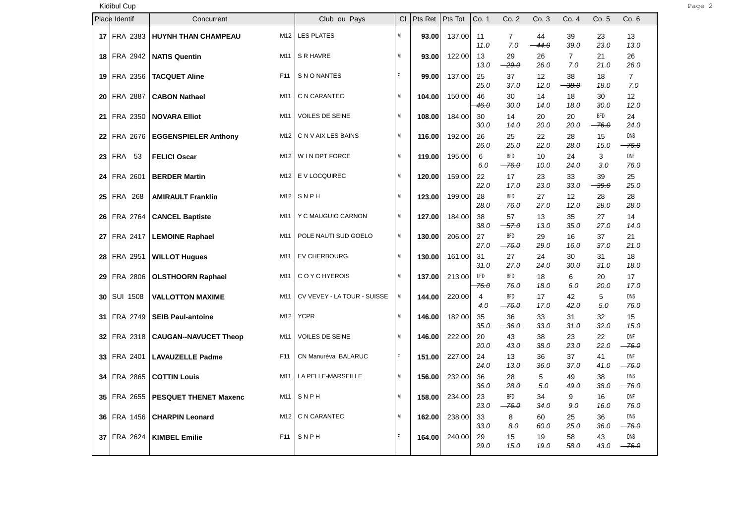## Kidibul Cup Page 2

|                 | Place Identif   | Concurrent                              | Club ou Pays                | CI | Pts Ret | Pts Tot | Co. 1                         | Co. 2                 | Co.3          | Co. 4                     | Co. 5               | Co.6                  |
|-----------------|-----------------|-----------------------------------------|-----------------------------|----|---------|---------|-------------------------------|-----------------------|---------------|---------------------------|---------------------|-----------------------|
|                 | 17 FRA 2383     | <b>HUYNH THAN CHAMPEAU</b><br>M12       | <b>LES PLATES</b>           | M  | 93.00   | 137.00  | 11<br>11.0                    | $\overline{7}$<br>7.0 | 44<br>$-44.0$ | 39<br>39.0                | 23<br>23.0          | 13<br>13.0            |
|                 | 18 FRA 2942     | M11<br><b>NATIS Quentin</b>             | S R HAVRE                   | M  | 93.00   | 122.00  | 13<br>13.0                    | 29<br>$-29.0$         | 26<br>26.0    | $\overline{7}$<br>7.0     | 21<br>21.0          | 26<br>26.0            |
|                 | 19 FRA 2356     | <b>TACQUET Aline</b><br>F11             | S N O NANTES                | F  | 99.00   | 137.00  | 25<br>25.0                    | 37<br>37.0            | 12<br>12.0    | 38<br>$-38.0$             | 18<br>18.0          | $\overline{7}$<br>7.0 |
| 20 <sub>1</sub> | <b>FRA 2887</b> | M11<br><b>CABON Nathael</b>             | C N CARANTEC                | M  | 104.00  | 150.00  | 46<br>46.0                    | 30<br>30.0            | 14<br>14.0    | 18<br>18.0                | 30<br>30.0          | 12<br>12.0            |
|                 | 21 FRA 2350     | <b>NOVARA Elliot</b><br>M11             | VOILES DE SEINE             | M  | 108.00  | 184.00  | 30<br>30.0                    | 14<br>14.0            | 20<br>20.0    | 20<br>20.0                | <b>BFD</b><br>-76.0 | 24<br>24.0            |
| 22              | <b>FRA 2676</b> | M12<br><b>EGGENSPIELER Anthony</b>      | C N V AIX LES BAINS         | M  | 116.00  | 192.00  | 26<br>26.0                    | 25<br>25.0            | 22<br>22.0    | 28<br>28.0                | 15<br>15.0          | <b>DNS</b><br>-76.0   |
| 23 <sub>1</sub> | <b>FRA 53</b>   | <b>FELICI Oscar</b><br>M12              | W I N DPT FORCE             | M  | 119.00  | 195.00  | 6<br>6.0                      | <b>BFD</b><br>$-76.0$ | 10<br>10.0    | 24<br>24.0                | 3<br>3.0            | <b>DNF</b><br>76.0    |
| 24              | FRA 2601        | <b>BERDER Martin</b><br>M12             | E V LOCQUIREC               | M  | 120.00  | 159.00  | 22<br>22.0                    | 17<br>17.0            | 23<br>23.0    | 33<br>33.0                | 39<br>$-39.0$       | 25<br>25.0            |
|                 | 25 FRA 268      | M12<br><b>AMIRAULT Franklin</b>         | SNPH                        | M  | 123.00  | 199.00  | 28<br>28.0                    | <b>BFD</b><br>$-76.0$ | 27<br>27.0    | $12 \overline{ }$<br>12.0 | 28<br>28.0          | 28<br>28.0            |
|                 | 26 FRA 2764     | M11<br><b>CANCEL Baptiste</b>           | Y C MAUGUIO CARNON          | M  | 127.00  | 184.00  | 38<br>38.0                    | 57<br>$-57.0$         | 13<br>13.0    | 35<br>35.0                | 27<br>27.0          | 14<br>14.0            |
| 27              | <b>FRA 2417</b> | M11<br><b>LEMOINE Raphael</b>           | POLE NAUTI SUD GOELO        | M  | 130.00  | 206.00  | 27<br>27.0                    | <b>BFD</b><br>$-76.0$ | 29<br>29.0    | 16<br>16.0                | 37<br>37.0          | 21<br>21.0            |
|                 | 28 FRA 2951     | M11<br><b>WILLOT Hugues</b>             | EV CHERBOURG                | M  | 130.00  | 161.00  | 31<br>31.0                    | 27<br>27.0            | 24<br>24.0    | 30<br>30.0                | 31<br>31.0          | 18<br>18.0            |
|                 | 29 FRA 2806     | M11<br><b>OLSTHOORN Raphael</b>         | C O Y C HYEROIS             | M  | 137.00  | 213.00  | <b>UFD</b><br><del>76.0</del> | <b>BFD</b><br>76.0    | 18<br>18.0    | 6<br>6.0                  | 20<br>20.0          | 17<br>17.0            |
| 30              | <b>SUI 1508</b> | M11<br><b>VALLOTTON MAXIME</b>          | CV VEVEY - LA TOUR - SUISSE | M  | 144.00  | 220.00  | 4<br>$4.0\,$                  | <b>BFD</b><br>$-76.0$ | 17<br>17.0    | 42<br>42.0                | 5<br>5.0            | <b>DNS</b><br>76.0    |
|                 | 31 FRA 2749     | <b>SEIB Paul-antoine</b><br>M12         | <b>YCPR</b>                 | M  | 146.00  | 182.00  | 35<br>35.0                    | 36<br><del>36.0</del> | 33<br>33.0    | 31<br>31.0                | 32<br>32.0          | 15<br>15.0            |
|                 | 32 FRA 2318     | <b>CAUGAN--NAVUCET Theop</b><br>M11     | <b>VOILES DE SEINE</b>      | M  | 146.00  | 222.00  | 20<br>20.0                    | 43<br>43.0            | 38<br>38.0    | 23<br>23.0                | 22<br>22.0          | <b>DNF</b><br>$-76.0$ |
|                 | 33 FRA 2401     | <b>LAVAUZELLE Padme</b><br>F11          | CN Manuréva BALARUC         | F  | 151.00  | 227.00  | 24<br>24.0                    | 13<br>13.0            | 36<br>36.0    | 37<br>37.0                | 41<br>41.0          | DNF<br>-76.0          |
| 34              | <b>FRA 2865</b> | M11<br><b>COTTIN Louis</b>              | LA PELLE-MARSEILLE          | M  | 156.00  | 232.00  | 36<br>36.0                    | 28<br>28.0            | 5<br>5.0      | 49<br>49.0                | 38<br>38.0          | DNS<br>$-76.0$        |
| 35 I            | FRA 2655        | M11<br><b>PESQUET THENET Maxenc</b>     | SNPH                        | M  | 158.00  | 234.00  | 23<br>23.0                    | <b>BFD</b><br>$-76.0$ | 34<br>34.0    | 9<br>9.0                  | 16<br>16.0          | <b>DNF</b><br>76.0    |
| 36 I            | <b>FRA 1456</b> | <b>CHARPIN Leonard</b><br>M12           | C N CARANTEC                | M  | 162.00  | 238.00  | 33<br>33.0                    | 8<br>8.0              | 60<br>60.0    | 25<br>25.0                | 36<br>36.0          | DNS<br>-76.0          |
| 37              | <b>FRA 2624</b> | F <sub>11</sub><br><b>KIMBEL Emilie</b> | SNPH                        | F  | 164.00  | 240.00  | 29<br>29.0                    | 15<br>15.0            | 19<br>19.0    | 58<br>58.0                | 43<br>43.0          | <b>DNS</b><br>$-76.0$ |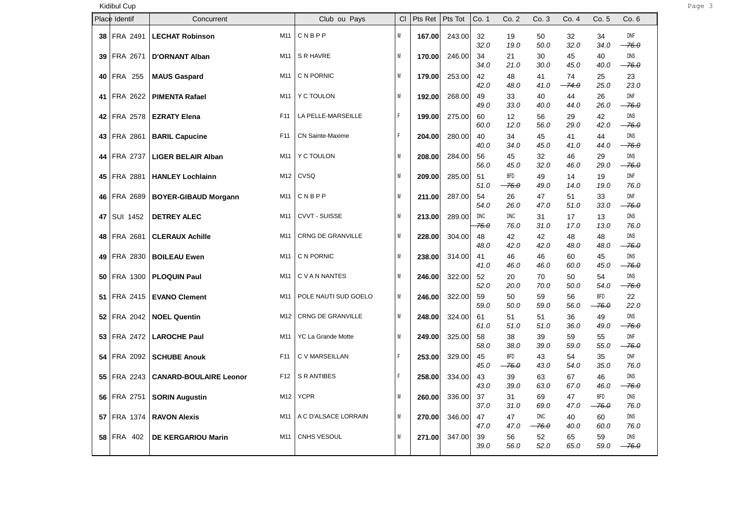| Kidibul Cup        |                               |                 |                          |           |             |         |             |                    |                        |               |                       |                       |
|--------------------|-------------------------------|-----------------|--------------------------|-----------|-------------|---------|-------------|--------------------|------------------------|---------------|-----------------------|-----------------------|
| Place Identif      | Concurrent                    |                 | Club ou Pays             | <b>CI</b> | Pts Ret $ $ | Pts Tot | Co. 1       | Co. 2              | Co.3                   | Co. 4         | Co. 5                 | Co.6                  |
| 38 FRA 2491        | <b>LECHAT Robinson</b>        | M11             | CNBPP                    | M         | 167.00      | 243.00  | 32<br>32.0  | 19<br>19.0         | 50<br>50.0             | 32<br>32.0    | 34<br>34.0            | <b>DNF</b><br>$-76.0$ |
| 39 FRA 2671        | <b>D'ORNANT Alban</b>         | M11             | S R HAVRE                | M         | 170.00      | 246.00  | 34<br>34.0  | 21<br>21.0         | 30<br>30.0             | 45<br>45.0    | 40<br>40.0            | <b>DNS</b><br>$-76.0$ |
| 40 FRA 255         | <b>MAUS Gaspard</b>           | M11             | C N PORNIC               | M         | 179.00      | 253.00  | 42<br>42.0  | 48<br>48.0         | 41<br>41.0             | 74<br>$-74.0$ | 25<br>25.0            | 23<br>23.0            |
| 41 FRA 2622        | <b>PIMENTA Rafael</b>         | M11             | Y C TOULON               | M         | 192.00      | 268.00  | 49<br>49.0  | 33<br>33.0         | 40<br>40.0             | 44<br>44.0    | 26<br>26.0            | <b>DNF</b><br>$-76.0$ |
| 42 FRA 2578        | <b>EZRATY Elena</b>           | F11             | LA PELLE-MARSEILLE       | F         | 199.00      | 275.00  | 60<br>60.0  | 12<br>12.0         | 56<br>56.0             | 29<br>29.0    | 42<br>42.0            | DNS<br>$-76.0$        |
| 43 FRA 2861        | <b>BARIL Capucine</b>         | F <sub>11</sub> | <b>CN Sainte-Maxime</b>  | F.        | 204.00      | 280.00  | 40<br>40.0  | 34<br>34.0         | 45<br>45.0             | 41<br>41.0    | 44<br>44.0            | <b>DNS</b><br>$-76.0$ |
| 44 FRA 2737        | <b>LIGER BELAIR Alban</b>     | M11             | Y C TOULON               | M         | 208.00      | 284.00  | 56<br>56.0  | 45<br>45.0         | 32<br>32.0             | 46<br>46.0    | 29<br>29.0            | DNS<br>$-76.0$        |
| 45 FRA 2881        | <b>HANLEY Lochlainn</b>       | M12             | CVSQ                     | M         | 209.00      | 285.00  | 51<br>51.0  | BFD<br>$-76.0$     | 49<br>49.0             | 14<br>14.0    | 19<br>19.0            | DNF<br>76.0           |
| 46 FRA 2689        | <b>BOYER-GIBAUD Morgann</b>   | M11             | CNBPP                    | M         | 211.00      | 287.00  | 54<br>54.0  | 26<br>26.0         | 47<br>47.0             | 51<br>51.0    | 33<br>33.0            | <b>DNF</b><br>$-76.0$ |
| 47 SUI 1452        | <b>DETREY ALEC</b>            | M11             | <b>CVVT - SUISSE</b>     | M         | 213.00      | 289.00  | DNC<br>76.0 | <b>DNC</b><br>76.0 | 31<br>31.0             | 17<br>17.0    | 13<br>13.0            | DNS<br>76.0           |
| 48 FRA 2681        | <b>CLERAUX Achille</b>        | M11             | <b>CRNG DE GRANVILLE</b> | M         | 228.00      | 304.00  | 48<br>48.0  | 42<br>42.0         | 42<br>42.0             | 48<br>48.0    | 48<br>48.0            | DNS<br>$-76.0$        |
| 49 FRA 2830        | <b>BOILEAU Ewen</b>           | M11             | C N PORNIC               | M         | 238.00      | 314.00  | 41<br>41.0  | 46<br>46.0         | 46<br>46.0             | 60<br>60.0    | 45<br>45.0            | <b>DNS</b><br>$-76.0$ |
| <b>50 FRA 1300</b> | <b>PLOQUIN Paul</b>           | M11             | C V A N NANTES           | M         | 246.00      | 322.00  | 52<br>52.0  | 20<br>20.0         | 70<br>70.0             | 50<br>50.0    | 54<br>54.0            | <b>DNS</b><br>$-76.0$ |
|                    | 51   FRA 2415   EVANO Clement | M11             | POLE NAUTI SUD GOELO     | M         | 246.00      | 322.00  | 59<br>59.0  | 50<br>50.0         | 59<br>59.0             | 56<br>56.0    | <b>BFD</b><br>$-76.0$ | 22<br>22.0            |
| 52 FRA 2042        | <b>NOEL Quentin</b>           | M12             | <b>CRNG DE GRANVILLE</b> | M         | 248.00      | 324.00  | 61<br>61.0  | 51<br>51.0         | 51<br>51.0             | 36<br>36.0    | 49<br>49.0            | <b>DNS</b><br>$-76.0$ |
|                    | 53 FRA 2472   LAROCHE Paul    | M11             | YC La Grande Motte       | M         | 249.00      | 325.00  | 58<br>58.0  | 38<br>38.0         | 39<br>39.0             | 59<br>59.0    | 55<br>55.0            | DNF<br>$-76.0$        |
|                    | 54   FRA 2092   SCHUBE Anouk  | F <sub>11</sub> | C V MARSEILLAN           | F         | 253.00      | 329.00  | 45<br>45.0  | BFD<br>$-76.0$     | 43<br>43.0             | 54<br>54.0    | 35<br>35.0            | DNF<br>76.0           |
| 55 FRA 2243        | <b>CANARD-BOULAIRE Leonor</b> | F12             | S R ANTIBES              | F         | 258.00      | 334.00  | 43<br>43.0  | 39<br>39.0         | 63<br>63.0             | 67<br>67.0    | 46<br>46.0            | <b>DNS</b><br>$-76.0$ |
| 56 FRA 2751        | <b>SORIN Augustin</b>         | M12             | <b>YCPR</b>              | M         | 260.00      | 336.00  | 37<br>37.0  | 31<br>31.0         | 69<br>69.0             | 47<br>47.0    | <b>BFD</b><br>$-76.0$ | DNS<br>76.0           |
| <b>57 FRA 1374</b> | <b>RAVON Alexis</b>           | M11             | A C D'ALSACE LORRAIN     | M         | 270.00      | 346.00  | 47<br>47.0  | 47<br>47.0         | DNC<br><del>76.0</del> | 40<br>40.0    | 60<br>60.0            | <b>DNS</b><br>76.0    |
| 58 FRA 402         | <b>DE KERGARIOU Marin</b>     | M11             | CNHS VESOUL              | M         | 271.00      | 347.00  | 39<br>39.0  | 56<br>56.0         | 52<br>52.0             | 65<br>65.0    | 59<br>59.0            | DNS<br>$-76.0$        |